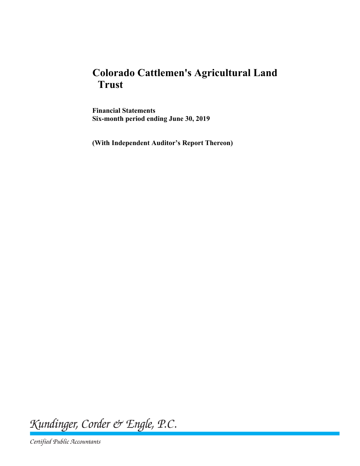# **Colorado Cattlemen's Agricultural Land Trust**

**Financial Statements Six-month period ending June 30, 2019**

**(With Independent Auditor's Report Thereon)**

Kundinger, Corder & Engle, P.C.

Certified Public Accountants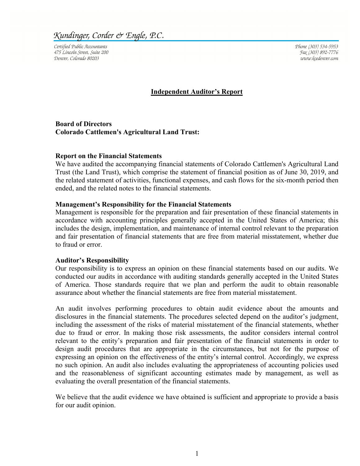Kundinger, Corder & Engle, P.C.

Certified Public Accountants 475 Lincoln Street, Suite 200 Denver, Colorado 80203

Phone (303) 534-5953 Fax (303) 892-7776 www.kcedenver.com

#### **Independent Auditor's Report**

**Board of Directors Colorado Cattlemen's Agricultural Land Trust:**

#### **Report on the Financial Statements**

We have audited the accompanying financial statements of Colorado Cattlemen's Agricultural Land Trust (the Land Trust), which comprise the statement of financial position as of June 30, 2019, and the related statement of activities, functional expenses, and cash flows for the six-month period then ended, and the related notes to the financial statements.

#### **Management's Responsibility for the Financial Statements**

Management is responsible for the preparation and fair presentation of these financial statements in accordance with accounting principles generally accepted in the United States of America; this includes the design, implementation, and maintenance of internal control relevant to the preparation and fair presentation of financial statements that are free from material misstatement, whether due to fraud or error.

#### **Auditor's Responsibility**

Our responsibility is to express an opinion on these financial statements based on our audits. We conducted our audits in accordance with auditing standards generally accepted in the United States of America. Those standards require that we plan and perform the audit to obtain reasonable assurance about whether the financial statements are free from material misstatement.

An audit involves performing procedures to obtain audit evidence about the amounts and disclosures in the financial statements. The procedures selected depend on the auditor's judgment, including the assessment of the risks of material misstatement of the financial statements, whether due to fraud or error. In making those risk assessments, the auditor considers internal control relevant to the entity's preparation and fair presentation of the financial statements in order to design audit procedures that are appropriate in the circumstances, but not for the purpose of expressing an opinion on the effectiveness of the entity's internal control. Accordingly, we express no such opinion. An audit also includes evaluating the appropriateness of accounting policies used and the reasonableness of significant accounting estimates made by management, as well as evaluating the overall presentation of the financial statements.

We believe that the audit evidence we have obtained is sufficient and appropriate to provide a basis for our audit opinion.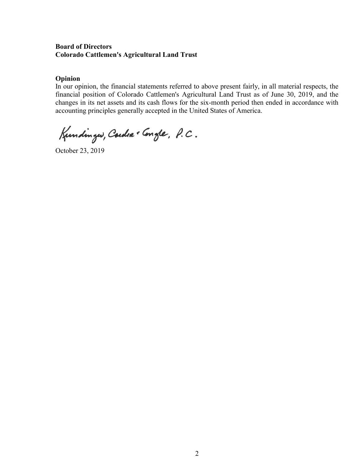### **Board of Directors Colorado Cattlemen's Agricultural Land Trust**

#### **Opinion**

In our opinion, the financial statements referred to above present fairly, in all material respects, the financial position of Colorado Cattlemen's Agricultural Land Trust as of June 30, 2019, and the changes in its net assets and its cash flows for the six-month period then ended in accordance with accounting principles generally accepted in the United States of America.

Kundinger, Cardia . Congle, P.C.

October 23, 2019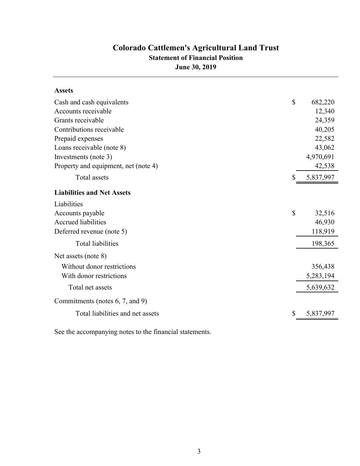# **Colorado Cattlemen's Agricultural Land Trust Statement of Financial Position June 30, 2019**

| <b>Assets</b>                        |              |           |
|--------------------------------------|--------------|-----------|
| Cash and cash equivalents            | \$           | 682,220   |
| Accounts receivable                  |              | 12,340    |
| Grants receivable                    |              | 24,359    |
| Contributions receivable             |              | 40,205    |
| Prepaid expenses                     |              | 22,582    |
| Loans receivable (note 8)            |              | 43,062    |
| Investments (note 3)                 |              | 4,970,691 |
| Property and equipment, net (note 4) |              | 42,538    |
| Total assets                         |              | 5,837,997 |
| <b>Liabilities and Net Assets</b>    |              |           |
| Liabilities                          |              |           |
| Accounts payable                     | $\mathbb{S}$ | 32,516    |
| <b>Accrued liabilities</b>           |              | 46,930    |
| Deferred revenue (note 5)            |              | 118,919   |
| <b>Total liabilities</b>             |              | 198,365   |
| Net assets (note 8)                  |              |           |
| Without donor restrictions           |              | 356,438   |
| With donor restrictions              |              | 5,283,194 |
| Total net assets                     |              | 5,639,632 |
| Commitments (notes 6, 7, and 9)      |              |           |
| Total liabilities and net assets     | \$           | 5,837,997 |

See the accompanying notes to the financial statements.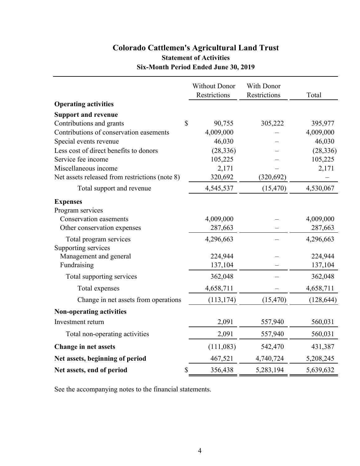# **Colorado Cattlemen's Agricultural Land Trust Statement of Activities Six-Month Period Ended June 30, 2019**

|                                                |               | <b>Without Donor</b><br>Restrictions | With Donor<br>Restrictions | Total      |
|------------------------------------------------|---------------|--------------------------------------|----------------------------|------------|
| <b>Operating activities</b>                    |               |                                      |                            |            |
| <b>Support and revenue</b>                     |               |                                      |                            |            |
| Contributions and grants                       | $\mathcal{S}$ | 90,755                               | 305,222                    | 395,977    |
| Contributions of conservation easements        |               | 4,009,000                            |                            | 4,009,000  |
| Special events revenue                         |               | 46,030                               |                            | 46,030     |
| Less cost of direct benefits to donors         |               | (28, 336)                            |                            | (28, 336)  |
| Service fee income                             |               | 105,225                              |                            | 105,225    |
| Miscellaneous income                           |               | 2,171                                |                            | 2,171      |
| Net assets released from restrictions (note 8) |               | 320,692                              | (320, 692)                 |            |
| Total support and revenue                      |               | 4,545,537                            | (15, 470)                  | 4,530,067  |
| <b>Expenses</b>                                |               |                                      |                            |            |
| Program services                               |               |                                      |                            |            |
| Conservation easements                         |               | 4,009,000                            |                            | 4,009,000  |
| Other conservation expenses                    |               | 287,663                              |                            | 287,663    |
| Total program services                         |               | 4,296,663                            |                            | 4,296,663  |
| Supporting services                            |               |                                      |                            |            |
| Management and general                         |               | 224,944                              |                            | 224,944    |
| Fundraising                                    |               | 137,104                              |                            | 137,104    |
| Total supporting services                      |               | 362,048                              |                            | 362,048    |
| Total expenses                                 |               | 4,658,711                            |                            | 4,658,711  |
| Change in net assets from operations           |               | (113, 174)                           | (15, 470)                  | (128, 644) |
| <b>Non-operating activities</b>                |               |                                      |                            |            |
| Investment return                              |               | 2,091                                | 557,940                    | 560,031    |
| Total non-operating activities                 |               | 2,091                                | 557,940                    | 560,031    |
| <b>Change in net assets</b>                    |               | (111,083)                            | 542,470                    | 431,387    |
| Net assets, beginning of period                |               | 467,521                              | 4,740,724                  | 5,208,245  |
| Net assets, end of period                      | \$            | 356,438                              | 5,283,194                  | 5,639,632  |

See the accompanying notes to the financial statements.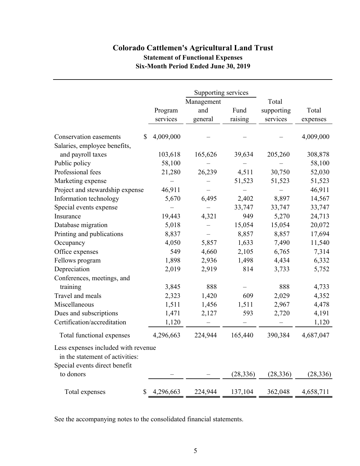# **Colorado Cattlemen's Agricultural Land Trust Statement of Functional Expenses Six-Month Period Ended June 30, 2019**

|                                                   |                 | Supporting services      |           |            |           |
|---------------------------------------------------|-----------------|--------------------------|-----------|------------|-----------|
|                                                   |                 | Management               |           | Total      |           |
|                                                   | Program         | and                      | Fund      | supporting | Total     |
|                                                   | services        | general                  | raising   | services   | expenses  |
| Conservation easements                            | 4,009,000<br>\$ |                          |           |            | 4,009,000 |
| Salaries, employee benefits,<br>and payroll taxes | 103,618         | 165,626                  | 39,634    | 205,260    | 308,878   |
| Public policy                                     |                 |                          |           |            |           |
|                                                   | 58,100          |                          |           |            | 58,100    |
| Professional fees                                 | 21,280          | 26,239                   | 4,511     | 30,750     | 52,030    |
| Marketing expense                                 |                 |                          | 51,523    | 51,523     | 51,523    |
| Project and stewardship expense                   | 46,911          |                          |           |            | 46,911    |
| Information technology                            | 5,670           | 6,495                    | 2,402     | 8,897      | 14,567    |
| Special events expense                            |                 |                          | 33,747    | 33,747     | 33,747    |
| Insurance                                         | 19,443          | 4,321                    | 949       | 5,270      | 24,713    |
| Database migration                                | 5,018           | $\overline{\phantom{0}}$ | 15,054    | 15,054     | 20,072    |
| Printing and publications                         | 8,837           |                          | 8,857     | 8,857      | 17,694    |
| Occupancy                                         | 4,050           | 5,857                    | 1,633     | 7,490      | 11,540    |
| Office expenses                                   | 549             | 4,660                    | 2,105     | 6,765      | 7,314     |
| Fellows program                                   | 1,898           | 2,936                    | 1,498     | 4,434      | 6,332     |
| Depreciation                                      | 2,019           | 2,919                    | 814       | 3,733      | 5,752     |
| Conferences, meetings, and                        |                 |                          |           |            |           |
| training                                          | 3,845           | 888                      |           | 888        | 4,733     |
| Travel and meals                                  | 2,323           | 1,420                    | 609       | 2,029      | 4,352     |
| Miscellaneous                                     | 1,511           | 1,456                    | 1,511     | 2,967      | 4,478     |
| Dues and subscriptions                            | 1,471           | 2,127                    | 593       | 2,720      | 4,191     |
| Certification/accreditation                       | 1,120           |                          |           |            | 1,120     |
| Total functional expenses                         | 4,296,663       | 224,944                  | 165,440   | 390,384    | 4,687,047 |
| Less expenses included with revenue               |                 |                          |           |            |           |
| in the statement of activities:                   |                 |                          |           |            |           |
| Special events direct benefit                     |                 |                          |           |            |           |
| to donors                                         |                 |                          | (28, 336) | (28, 336)  | (28, 336) |
| Total expenses                                    | 4,296,663<br>\$ | 224,944                  | 137,104   | 362,048    | 4,658,711 |

See the accompanying notes to the consolidated financial statements.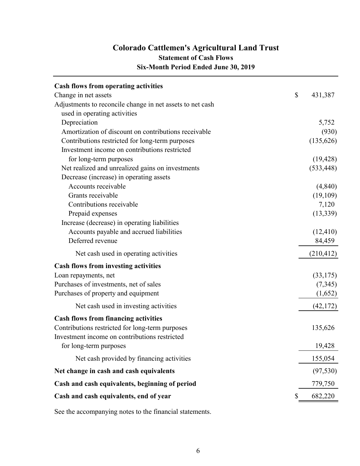# **Six-Month Period Ended June 30, 2019 Statement of Cash Flows Colorado Cattlemen's Agricultural Land Trust**

| \$<br>Change in net assets<br>431,387<br>Adjustments to reconcile change in net assets to net cash<br>used in operating activities<br>Depreciation<br>5,752<br>Amortization of discount on contributions receivable<br>(930)<br>(135, 626)<br>Contributions restricted for long-term purposes<br>Investment income on contributions restricted |
|------------------------------------------------------------------------------------------------------------------------------------------------------------------------------------------------------------------------------------------------------------------------------------------------------------------------------------------------|
|                                                                                                                                                                                                                                                                                                                                                |
|                                                                                                                                                                                                                                                                                                                                                |
|                                                                                                                                                                                                                                                                                                                                                |
|                                                                                                                                                                                                                                                                                                                                                |
|                                                                                                                                                                                                                                                                                                                                                |
|                                                                                                                                                                                                                                                                                                                                                |
|                                                                                                                                                                                                                                                                                                                                                |
| for long-term purposes<br>(19, 428)                                                                                                                                                                                                                                                                                                            |
| Net realized and unrealized gains on investments<br>(533, 448)                                                                                                                                                                                                                                                                                 |
| Decrease (increase) in operating assets                                                                                                                                                                                                                                                                                                        |
| Accounts receivable<br>(4,840)                                                                                                                                                                                                                                                                                                                 |
| Grants receivable<br>(19,109)                                                                                                                                                                                                                                                                                                                  |
| Contributions receivable<br>7,120                                                                                                                                                                                                                                                                                                              |
| (13, 339)<br>Prepaid expenses                                                                                                                                                                                                                                                                                                                  |
| Increase (decrease) in operating liabilities                                                                                                                                                                                                                                                                                                   |
| Accounts payable and accrued liabilities<br>(12, 410)                                                                                                                                                                                                                                                                                          |
| Deferred revenue<br>84,459                                                                                                                                                                                                                                                                                                                     |
| (210, 412)<br>Net cash used in operating activities                                                                                                                                                                                                                                                                                            |
| <b>Cash flows from investing activities</b>                                                                                                                                                                                                                                                                                                    |
| Loan repayments, net<br>(33, 175)                                                                                                                                                                                                                                                                                                              |
| Purchases of investments, net of sales<br>(7,345)                                                                                                                                                                                                                                                                                              |
| Purchases of property and equipment<br>(1,652)                                                                                                                                                                                                                                                                                                 |
| (42, 172)<br>Net cash used in investing activities                                                                                                                                                                                                                                                                                             |
| <b>Cash flows from financing activities</b>                                                                                                                                                                                                                                                                                                    |
| Contributions restricted for long-term purposes<br>135,626                                                                                                                                                                                                                                                                                     |
| Investment income on contributions restricted                                                                                                                                                                                                                                                                                                  |
| 19,428<br>for long-term purposes                                                                                                                                                                                                                                                                                                               |
| 155,054<br>Net cash provided by financing activities                                                                                                                                                                                                                                                                                           |
| Net change in cash and cash equivalents<br>(97, 530)                                                                                                                                                                                                                                                                                           |
| Cash and cash equivalents, beginning of period<br>779,750                                                                                                                                                                                                                                                                                      |
| Cash and cash equivalents, end of year<br>682,220<br>\$                                                                                                                                                                                                                                                                                        |

See the accompanying notes to the financial statements.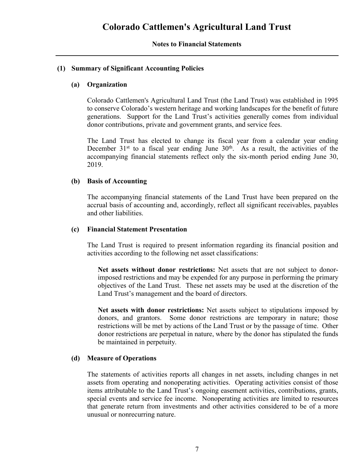#### **Notes to Financial Statements**

#### **(1) Summary of Significant Accounting Policies**

#### **(a) Organization**

Colorado Cattlemen's Agricultural Land Trust (the Land Trust) was established in 1995 to conserve Colorado's western heritage and working landscapes for the benefit of future generations. Support for the Land Trust's activities generally comes from individual donor contributions, private and government grants, and service fees.

The Land Trust has elected to change its fiscal year from a calendar year ending December  $31<sup>st</sup>$  to a fiscal year ending June  $30<sup>th</sup>$ . As a result, the activities of the accompanying financial statements reflect only the six-month period ending June 30, 2019.

#### **(b) Basis of Accounting**

The accompanying financial statements of the Land Trust have been prepared on the accrual basis of accounting and, accordingly, reflect all significant receivables, payables and other liabilities.

#### **(c) Financial Statement Presentation**

The Land Trust is required to present information regarding its financial position and activities according to the following net asset classifications:

**Net assets without donor restrictions:** Net assets that are not subject to donorimposed restrictions and may be expended for any purpose in performing the primary objectives of the Land Trust. These net assets may be used at the discretion of the Land Trust's management and the board of directors.

**Net assets with donor restrictions:** Net assets subject to stipulations imposed by donors, and grantors. Some donor restrictions are temporary in nature; those restrictions will be met by actions of the Land Trust or by the passage of time. Other donor restrictions are perpetual in nature, where by the donor has stipulated the funds be maintained in perpetuity.

#### **(d) Measure of Operations**

The statements of activities reports all changes in net assets, including changes in net assets from operating and nonoperating activities. Operating activities consist of those items attributable to the Land Trust's ongoing easement activities, contributions, grants, special events and service fee income. Nonoperating activities are limited to resources that generate return from investments and other activities considered to be of a more unusual or nonrecurring nature.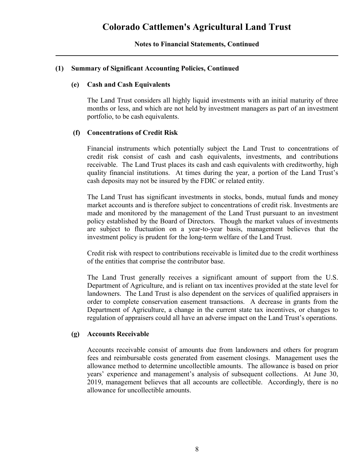## **(1) Summary of Significant Accounting Policies, Continued**

### **(e) Cash and Cash Equivalents**

The Land Trust considers all highly liquid investments with an initial maturity of three months or less, and which are not held by investment managers as part of an investment portfolio, to be cash equivalents.

## **(f) Concentrations of Credit Risk**

Financial instruments which potentially subject the Land Trust to concentrations of credit risk consist of cash and cash equivalents, investments, and contributions receivable. The Land Trust places its cash and cash equivalents with creditworthy, high quality financial institutions. At times during the year, a portion of the Land Trust's cash deposits may not be insured by the FDIC or related entity.

The Land Trust has significant investments in stocks, bonds, mutual funds and money market accounts and is therefore subject to concentrations of credit risk. Investments are made and monitored by the management of the Land Trust pursuant to an investment policy established by the Board of Directors. Though the market values of investments are subject to fluctuation on a year-to-year basis, management believes that the investment policy is prudent for the long-term welfare of the Land Trust.

Credit risk with respect to contributions receivable is limited due to the credit worthiness of the entities that comprise the contributor base.

The Land Trust generally receives a significant amount of support from the U.S. Department of Agriculture, and is reliant on tax incentives provided at the state level for landowners. The Land Trust is also dependent on the services of qualified appraisers in order to complete conservation easement transactions. A decrease in grants from the Department of Agriculture, a change in the current state tax incentives, or changes to regulation of appraisers could all have an adverse impact on the Land Trust's operations.

#### **(g) Accounts Receivable**

Accounts receivable consist of amounts due from landowners and others for program fees and reimbursable costs generated from easement closings. Management uses the allowance method to determine uncollectible amounts. The allowance is based on prior years' experience and management's analysis of subsequent collections. At June 30, 2019, management believes that all accounts are collectible. Accordingly, there is no allowance for uncollectible amounts.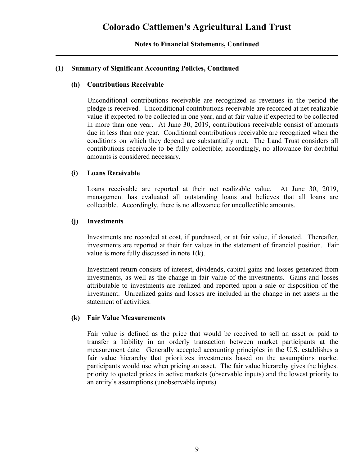## **(1) Summary of Significant Accounting Policies, Continued**

## **(h) Contributions Receivable**

Unconditional contributions receivable are recognized as revenues in the period the pledge is received. Unconditional contributions receivable are recorded at net realizable value if expected to be collected in one year, and at fair value if expected to be collected in more than one year. At June 30, 2019, contributions receivable consist of amounts due in less than one year. Conditional contributions receivable are recognized when the conditions on which they depend are substantially met. The Land Trust considers all contributions receivable to be fully collectible; accordingly, no allowance for doubtful amounts is considered necessary.

## **(i) Loans Receivable**

Loans receivable are reported at their net realizable value. At June 30, 2019, management has evaluated all outstanding loans and believes that all loans are collectible. Accordingly, there is no allowance for uncollectible amounts.

## **(j) Investments**

Investments are recorded at cost, if purchased, or at fair value, if donated. Thereafter, investments are reported at their fair values in the statement of financial position. Fair value is more fully discussed in note 1(k).

Investment return consists of interest, dividends, capital gains and losses generated from investments, as well as the change in fair value of the investments. Gains and losses attributable to investments are realized and reported upon a sale or disposition of the investment. Unrealized gains and losses are included in the change in net assets in the statement of activities.

#### **(k) Fair Value Measurements**

Fair value is defined as the price that would be received to sell an asset or paid to transfer a liability in an orderly transaction between market participants at the measurement date. Generally accepted accounting principles in the U.S. establishes a fair value hierarchy that prioritizes investments based on the assumptions market participants would use when pricing an asset. The fair value hierarchy gives the highest priority to quoted prices in active markets (observable inputs) and the lowest priority to an entity's assumptions (unobservable inputs).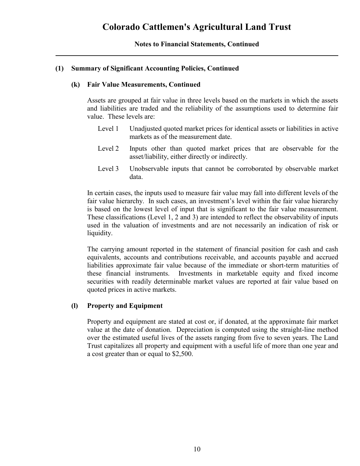# **Colorado Cattlemen's Agricultural Land Trust**

### **Notes to Financial Statements, Continued**

### **(1) Summary of Significant Accounting Policies, Continued**

#### **(k) Fair Value Measurements, Continued**

Assets are grouped at fair value in three levels based on the markets in which the assets and liabilities are traded and the reliability of the assumptions used to determine fair value. These levels are:

- Level 1 Unadjusted quoted market prices for identical assets or liabilities in active markets as of the measurement date.
- Level 2 Inputs other than quoted market prices that are observable for the asset/liability, either directly or indirectly.
- Level 3 Unobservable inputs that cannot be corroborated by observable market data.

In certain cases, the inputs used to measure fair value may fall into different levels of the fair value hierarchy. In such cases, an investment's level within the fair value hierarchy is based on the lowest level of input that is significant to the fair value measurement. These classifications (Level 1, 2 and 3) are intended to reflect the observability of inputs used in the valuation of investments and are not necessarily an indication of risk or liquidity.

The carrying amount reported in the statement of financial position for cash and cash equivalents, accounts and contributions receivable, and accounts payable and accrued liabilities approximate fair value because of the immediate or short-term maturities of these financial instruments. Investments in marketable equity and fixed income securities with readily determinable market values are reported at fair value based on quoted prices in active markets.

#### **(l) Property and Equipment**

Property and equipment are stated at cost or, if donated, at the approximate fair market value at the date of donation. Depreciation is computed using the straight-line method over the estimated useful lives of the assets ranging from five to seven years. The Land Trust capitalizes all property and equipment with a useful life of more than one year and a cost greater than or equal to \$2,500.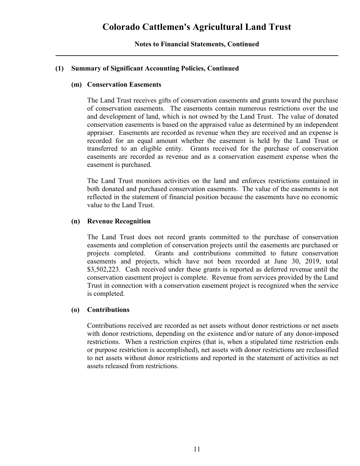## **(1) Summary of Significant Accounting Policies, Continued**

#### **(m) Conservation Easements**

The Land Trust receives gifts of conservation easements and grants toward the purchase of conservation easements. The easements contain numerous restrictions over the use and development of land, which is not owned by the Land Trust. The value of donated conservation easements is based on the appraised value as determined by an independent appraiser. Easements are recorded as revenue when they are received and an expense is recorded for an equal amount whether the easement is held by the Land Trust or transferred to an eligible entity. Grants received for the purchase of conservation easements are recorded as revenue and as a conservation easement expense when the easement is purchased.

The Land Trust monitors activities on the land and enforces restrictions contained in both donated and purchased conservation easements. The value of the easements is not reflected in the statement of financial position because the easements have no economic value to the Land Trust.

## **(n) Revenue Recognition**

The Land Trust does not record grants committed to the purchase of conservation easements and completion of conservation projects until the easements are purchased or projects completed. Grants and contributions committed to future conservation easements and projects, which have not been recorded at June 30, 2019, total \$3,502,223. Cash received under these grants is reported as deferred revenue until the conservation easement project is complete. Revenue from services provided by the Land Trust in connection with a conservation easement project is recognized when the service is completed.

## **(o) Contributions**

Contributions received are recorded as net assets without donor restrictions or net assets with donor restrictions, depending on the existence and/or nature of any donor-imposed restrictions. When a restriction expires (that is, when a stipulated time restriction ends or purpose restriction is accomplished), net assets with donor restrictions are reclassified to net assets without donor restrictions and reported in the statement of activities as net assets released from restrictions.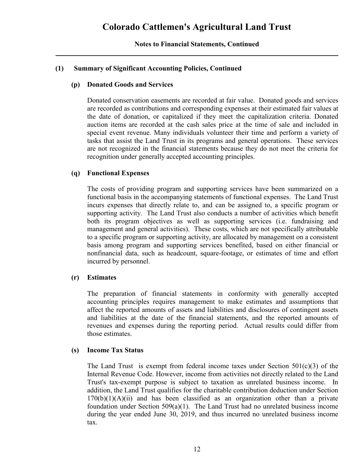## **(1) Summary of Significant Accounting Policies, Continued**

## **(p) Donated Goods and Services**

Donated conservation easements are recorded at fair value. Donated goods and services are recorded as contributions and corresponding expenses at their estimated fair values at the date of donation, or capitalized if they meet the capitalization criteria. Donated auction items are recorded at the cash sales price at the time of sale and included in special event revenue. Many individuals volunteer their time and perform a variety of tasks that assist the Land Trust in its programs and general operations. These services are not recognized in the financial statements because they do not meet the criteria for recognition under generally accepted accounting principles.

## **(q) Functional Expenses**

The costs of providing program and supporting services have been summarized on a functional basis in the accompanying statements of functional expenses. The Land Trust incurs expenses that directly relate to, and can be assigned to, a specific program or supporting activity. The Land Trust also conducts a number of activities which benefit both its program objectives as well as supporting services (i.e. fundraising and management and general activities). These costs, which are not specifically attributable to a specific program or supporting activity, are allocated by management on a consistent basis among program and supporting services benefited, based on either financial or nonfinancial data, such as headcount, square-footage, or estimates of time and effort incurred by personnel.

## **(r) Estimates**

The preparation of financial statements in conformity with generally accepted accounting principles requires management to make estimates and assumptions that affect the reported amounts of assets and liabilities and disclosures of contingent assets and liabilities at the date of the financial statements, and the reported amounts of revenues and expenses during the reporting period. Actual results could differ from those estimates.

## **(s) Income Tax Status**

The Land Trust is exempt from federal income taxes under Section  $501(c)(3)$  of the Internal Revenue Code. However, income from activities not directly related to the Land Trust's tax-exempt purpose is subject to taxation as unrelated business income. In addition, the Land Trust qualifies for the charitable contribution deduction under Section  $170(b)(1)(A)(ii)$  and has been classified as an organization other than a private foundation under Section  $509(a)(1)$ . The Land Trust had no unrelated business income during the year ended June 30, 2019, and thus incurred no unrelated business income tax.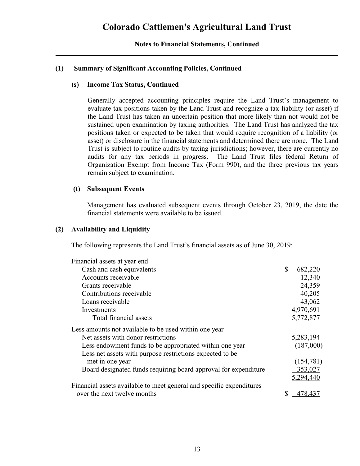# **Colorado Cattlemen's Agricultural Land Trust**

#### **Notes to Financial Statements, Continued**

#### **(1) Summary of Significant Accounting Policies, Continued**

#### **(s) Income Tax Status, Continued**

Generally accepted accounting principles require the Land Trust's management to evaluate tax positions taken by the Land Trust and recognize a tax liability (or asset) if the Land Trust has taken an uncertain position that more likely than not would not be sustained upon examination by taxing authorities. The Land Trust has analyzed the tax positions taken or expected to be taken that would require recognition of a liability (or asset) or disclosure in the financial statements and determined there are none. The Land Trust is subject to routine audits by taxing jurisdictions; however, there are currently no audits for any tax periods in progress. The Land Trust files federal Return of Organization Exempt from Income Tax (Form 990), and the three previous tax years remain subject to examination.

#### **(t) Subsequent Events**

Management has evaluated subsequent events through October 23, 2019, the date the financial statements were available to be issued.

#### **(2) Availability and Liquidity**

The following represents the Land Trust's financial assets as of June 30, 2019:

| Financial assets at year end                                         |               |
|----------------------------------------------------------------------|---------------|
| Cash and cash equivalents                                            | \$<br>682,220 |
| Accounts receivable                                                  | 12,340        |
| Grants receivable                                                    | 24,359        |
| Contributions receivable                                             | 40,205        |
| Loans receivable                                                     | 43,062        |
| Investments                                                          | 4,970,691     |
| Total financial assets                                               | 5,772,877     |
| Less amounts not available to be used within one year                |               |
| Net assets with donor restrictions                                   | 5,283,194     |
| Less endowment funds to be appropriated within one year              | (187,000)     |
| Less net assets with purpose restrictions expected to be             |               |
| met in one year                                                      | (154, 781)    |
| Board designated funds requiring board approval for expenditure      | 353,027       |
|                                                                      | 5,294,440     |
| Financial assets available to meet general and specific expenditures |               |
| over the next twelve months                                          | 478,437       |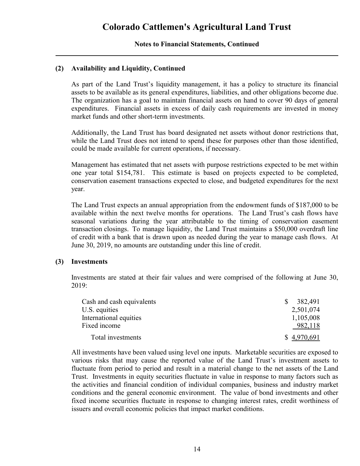## **(2) Availability and Liquidity, Continued**

As part of the Land Trust's liquidity management, it has a policy to structure its financial assets to be available as its general expenditures, liabilities, and other obligations become due. The organization has a goal to maintain financial assets on hand to cover 90 days of general expenditures. Financial assets in excess of daily cash requirements are invested in money market funds and other short-term investments.

Additionally, the Land Trust has board designated net assets without donor restrictions that, while the Land Trust does not intend to spend these for purposes other than those identified, could be made available for current operations, if necessary.

Management has estimated that net assets with purpose restrictions expected to be met within one year total \$154,781. This estimate is based on projects expected to be completed, conservation easement transactions expected to close, and budgeted expenditures for the next year.

The Land Trust expects an annual appropriation from the endowment funds of \$187,000 to be available within the next twelve months for operations. The Land Trust's cash flows have seasonal variations during the year attributable to the timing of conservation easement transaction closings. To manage liquidity, the Land Trust maintains a \$50,000 overdraft line of credit with a bank that is drawn upon as needed during the year to manage cash flows. At June 30, 2019, no amounts are outstanding under this line of credit.

#### **(3) Investments**

Investments are stated at their fair values and were comprised of the following at June 30, 2019:

| Cash and cash equivalents | 382,491<br>S. |
|---------------------------|---------------|
| U.S. equities             | 2,501,074     |
| International equities    | 1,105,008     |
| Fixed income              | 982,118       |
| Total investments         | \$4,970,691   |

All investments have been valued using level one inputs. Marketable securities are exposed to various risks that may cause the reported value of the Land Trust's investment assets to fluctuate from period to period and result in a material change to the net assets of the Land Trust. Investments in equity securities fluctuate in value in response to many factors such as the activities and financial condition of individual companies, business and industry market conditions and the general economic environment. The value of bond investments and other fixed income securities fluctuate in response to changing interest rates, credit worthiness of issuers and overall economic policies that impact market conditions.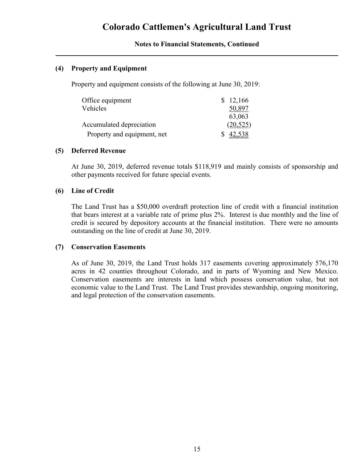## **(4) Property and Equipment**

Property and equipment consists of the following at June 30, 2019:

| Office equipment            | \$12,166 |
|-----------------------------|----------|
| Vehicles                    | 50,897   |
|                             | 63,063   |
| Accumulated depreciation    | (20,525) |
| Property and equipment, net | \$42,538 |

## **(5) Deferred Revenue**

At June 30, 2019, deferred revenue totals \$118,919 and mainly consists of sponsorship and other payments received for future special events.

## **(6) Line of Credit**

The Land Trust has a \$50,000 overdraft protection line of credit with a financial institution that bears interest at a variable rate of prime plus 2%. Interest is due monthly and the line of credit is secured by depository accounts at the financial institution. There were no amounts outstanding on the line of credit at June 30, 2019.

## **(7) Conservation Easements**

As of June 30, 2019, the Land Trust holds 317 easements covering approximately 576,170 acres in 42 counties throughout Colorado, and in parts of Wyoming and New Mexico. Conservation easements are interests in land which possess conservation value, but not economic value to the Land Trust. The Land Trust provides stewardship, ongoing monitoring, and legal protection of the conservation easements.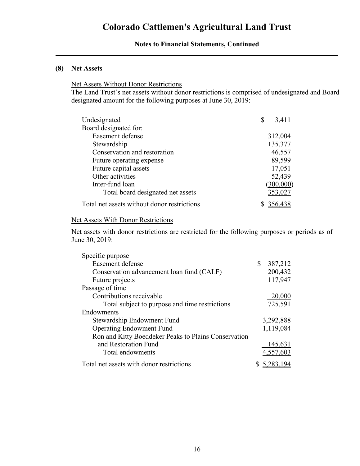# **Colorado Cattlemen's Agricultural Land Trust**

#### **Notes to Financial Statements, Continued**

#### **(8) Net Assets**

#### Net Assets Without Donor Restrictions

The Land Trust's net assets without donor restrictions is comprised of undesignated and Board designated amount for the following purposes at June 30, 2019:

| Undesignated                                | S | 3,411     |
|---------------------------------------------|---|-----------|
| Board designated for:                       |   |           |
| Easement defense                            |   | 312,004   |
| Stewardship                                 |   | 135,377   |
| Conservation and restoration                |   | 46,557    |
| Future operating expense                    |   | 89,599    |
| Future capital assets                       |   | 17,051    |
| Other activities                            |   | 52,439    |
| Inter-fund loan                             |   | (300,000) |
| Total board designated net assets           |   | 353,027   |
| Total net assets without donor restrictions |   | 356,438   |

#### Net Assets With Donor Restrictions

Net assets with donor restrictions are restricted for the following purposes or periods as of June 30, 2019:

| Specific purpose                                     |               |  |
|------------------------------------------------------|---------------|--|
| <b>Easement defense</b>                              | 387,212<br>\$ |  |
| Conservation advancement loan fund (CALF)            | 200,432       |  |
| Future projects                                      | 117,947       |  |
| Passage of time                                      |               |  |
| Contributions receivable                             | 20,000        |  |
| Total subject to purpose and time restrictions       | 725,591       |  |
| Endowments                                           |               |  |
| Stewardship Endowment Fund                           | 3,292,888     |  |
| <b>Operating Endowment Fund</b>                      | 1,119,084     |  |
| Ron and Kitty Boeddeker Peaks to Plains Conservation |               |  |
| and Restoration Fund                                 | 145,631       |  |
| Total endowments                                     | 4,557,603     |  |
| Total net assets with donor restrictions             | 5,283,194     |  |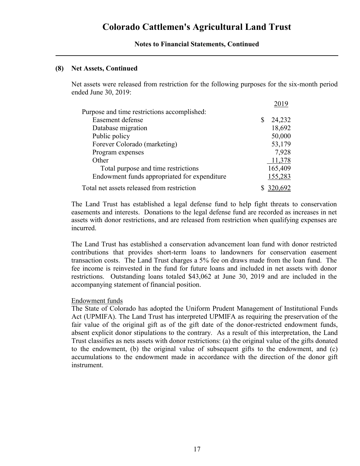## **(8) Net Assets, Continued**

Net assets were released from restriction for the following purposes for the six-month period ended June 30, 2019:

 $2010$ 

|                                              |   | 2019    |
|----------------------------------------------|---|---------|
| Purpose and time restrictions accomplished:  |   |         |
| Easement defense                             | S | 24,232  |
| Database migration                           |   | 18,692  |
| Public policy                                |   | 50,000  |
| Forever Colorado (marketing)                 |   | 53,179  |
| Program expenses                             |   | 7,928   |
| Other                                        |   | 11,378  |
| Total purpose and time restrictions          |   | 165,409 |
| Endowment funds appropriated for expenditure |   | 155,283 |
| Total net assets released from restriction   |   |         |

The Land Trust has established a legal defense fund to help fight threats to conservation easements and interests. Donations to the legal defense fund are recorded as increases in net assets with donor restrictions, and are released from restriction when qualifying expenses are incurred.

The Land Trust has established a conservation advancement loan fund with donor restricted contributions that provides short-term loans to landowners for conservation easement transaction costs. The Land Trust charges a 5% fee on draws made from the loan fund. The fee income is reinvested in the fund for future loans and included in net assets with donor restrictions. Outstanding loans totaled \$43,062 at June 30, 2019 and are included in the accompanying statement of financial position.

#### Endowment funds

The State of Colorado has adopted the Uniform Prudent Management of Institutional Funds Act (UPMIFA). The Land Trust has interpreted UPMIFA as requiring the preservation of the fair value of the original gift as of the gift date of the donor-restricted endowment funds, absent explicit donor stipulations to the contrary. As a result of this interpretation, the Land Trust classifies as nets assets with donor restrictions: (a) the original value of the gifts donated to the endowment, (b) the original value of subsequent gifts to the endowment, and (c) accumulations to the endowment made in accordance with the direction of the donor gift instrument.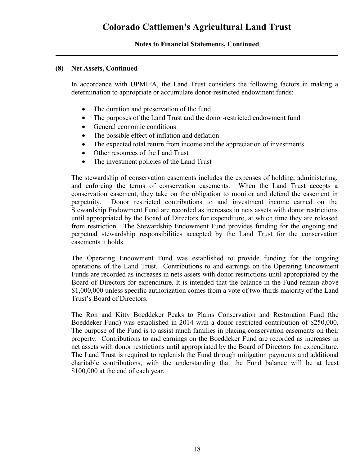## **(8) Net Assets, Continued**

In accordance with UPMIFA, the Land Trust considers the following factors in making a determination to appropriate or accumulate donor-restricted endowment funds:

- The duration and preservation of the fund
- The purposes of the Land Trust and the donor-restricted endowment fund
- General economic conditions
- The possible effect of inflation and deflation
- The expected total return from income and the appreciation of investments
- Other resources of the Land Trust
- The investment policies of the Land Trust

The stewardship of conservation easements includes the expenses of holding, administering, and enforcing the terms of conservation easements. When the Land Trust accepts a conservation easement, they take on the obligation to monitor and defend the easement in perpetuity. Donor restricted contributions to and investment income earned on the Stewardship Endowment Fund are recorded as increases in nets assets with donor restrictions until appropriated by the Board of Directors for expenditure, at which time they are released from restriction. The Stewardship Endowment Fund provides funding for the ongoing and perpetual stewardship responsibilities accepted by the Land Trust for the conservation easements it holds.

The Operating Endowment Fund was established to provide funding for the ongoing operations of the Land Trust. Contributions to and earnings on the Operating Endowment Funds are recorded as increases in nets assets with donor restrictions until appropriated by the Board of Directors for expenditure. It is intended that the balance in the Fund remain above \$1,000,000 unless specific authorization comes from a vote of two-thirds majority of the Land Trust's Board of Directors.

The Ron and Kitty Boeddeker Peaks to Plains Conservation and Restoration Fund (the Boeddeker Fund) was established in 2014 with a donor restricted contribution of \$250,000. The purpose of the Fund is to assist ranch families in placing conservation easements on their property. Contributions to and earnings on the Boeddeker Fund are recorded as increases in net assets with donor restrictions until appropriated by the Board of Directors for expenditure. The Land Trust is required to replenish the Fund through mitigation payments and additional charitable contributions, with the understanding that the Fund balance will be at least \$100,000 at the end of each year.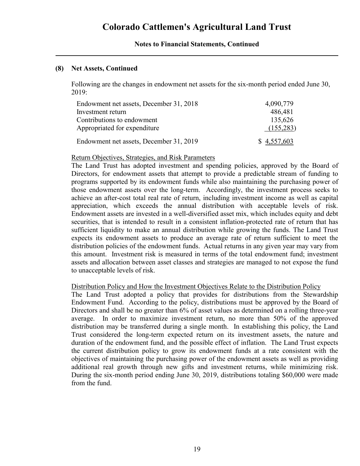## **(8) Net Assets, Continued**

Following are the changes in endowment net assets for the six-month period ended June 30, 2019:

| Endowment net assets, December 31, 2018 | 4,090,779   |
|-----------------------------------------|-------------|
| Investment return                       | 486,481     |
| Contributions to endowment              | 135,626     |
| Appropriated for expenditure            | (155,283)   |
| Endowment net assets, December 31, 2019 | \$4,557,603 |

#### Return Objectives, Strategies, and Risk Parameters

The Land Trust has adopted investment and spending policies, approved by the Board of Directors, for endowment assets that attempt to provide a predictable stream of funding to programs supported by its endowment funds while also maintaining the purchasing power of those endowment assets over the long-term. Accordingly, the investment process seeks to achieve an after-cost total real rate of return, including investment income as well as capital appreciation, which exceeds the annual distribution with acceptable levels of risk. Endowment assets are invested in a well-diversified asset mix, which includes equity and debt securities, that is intended to result in a consistent inflation-protected rate of return that has sufficient liquidity to make an annual distribution while growing the funds. The Land Trust expects its endowment assets to produce an average rate of return sufficient to meet the distribution policies of the endowment funds. Actual returns in any given year may vary from this amount. Investment risk is measured in terms of the total endowment fund; investment assets and allocation between asset classes and strategies are managed to not expose the fund to unacceptable levels of risk.

#### Distribution Policy and How the Investment Objectives Relate to the Distribution Policy

The Land Trust adopted a policy that provides for distributions from the Stewardship Endowment Fund. According to the policy, distributions must be approved by the Board of Directors and shall be no greater than 6% of asset values as determined on a rolling three-year average. In order to maximize investment return, no more than 50% of the approved distribution may be transferred during a single month. In establishing this policy, the Land Trust considered the long-term expected return on its investment assets, the nature and duration of the endowment fund, and the possible effect of inflation. The Land Trust expects the current distribution policy to grow its endowment funds at a rate consistent with the objectives of maintaining the purchasing power of the endowment assets as well as providing additional real growth through new gifts and investment returns, while minimizing risk. During the six-month period ending June 30, 2019, distributions totaling \$60,000 were made from the fund.